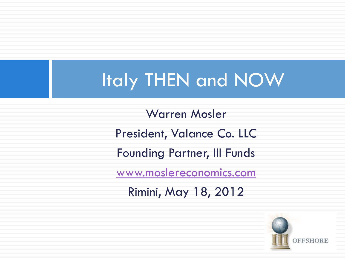#### Italy THEN and NOW

Warren Mosler President, Valance Co. LLC Founding Partner, III Funds [www.moslereconomics.com](http://www.moslereconomics.com/) Rimini, May 18, 2012

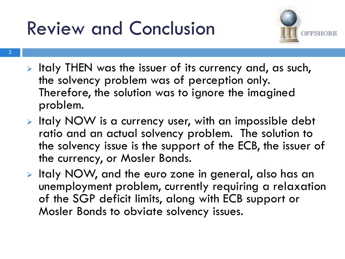## Review and Conclusion



- $\triangleright$  Italy THEN was the issuer of its currency and, as such, the solvency problem was of perception only. Therefore, the solution was to ignore the imagined problem.
- $\triangleright$  Italy NOW is a currency user, with an impossible debt ratio and an actual solvency problem. The solution to the solvency issue is the support of the ECB, the issuer of the currency, or Mosler Bonds.
- > Italy NOW, and the euro zone in general, also has an unemployment problem, currently requiring a relaxation of the SGP deficit limits, along with ECB support or Mosler Bonds to obviate solvency issues.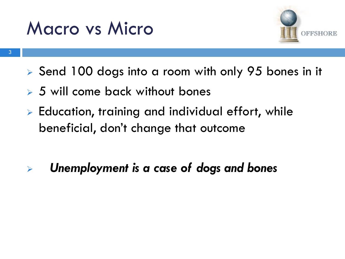#### Macro vs Micro



- ▶ Send 100 dogs into a room with only 95 bones in it
- **5 will come back without bones**
- $\triangleright$  Education, training and individual effort, while beneficial, don't change that outcome
- *Unemployment is a case of dogs and bones*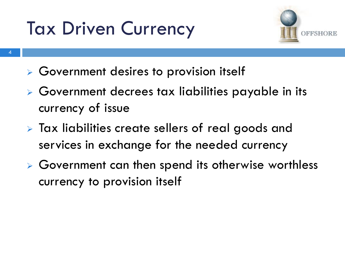# Tax Driven Currency



- Government desires to provision itself
- Government decrees tax liabilities payable in its currency of issue
- **> Tax liabilities create sellers of real goods and** services in exchange for the needed currency
- Government can then spend its otherwise worthless currency to provision itself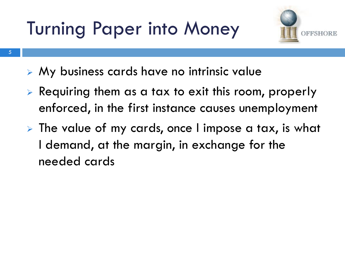Turning Paper into Money



- My business cards have no intrinsic value
- $\triangleright$  Requiring them as a tax to exit this room, properly enforced, in the first instance causes unemployment
- $\triangleright$  The value of my cards, once I impose a tax, is what I demand, at the margin, in exchange for the needed cards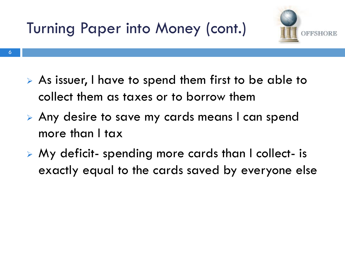Turning Paper into Money (cont.)



- As issuer, I have to spend them first to be able to collect them as taxes or to borrow them
- Any desire to save my cards means I can spend more than I tax
- My deficit- spending more cards than I collect- is exactly equal to the cards saved by everyone else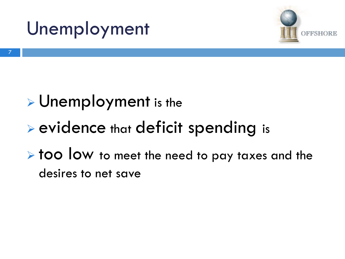



#### **>**Unemployment is the

#### evidence that deficit spending is

 $\triangleright$  too low to meet the need to pay taxes and the desires to net save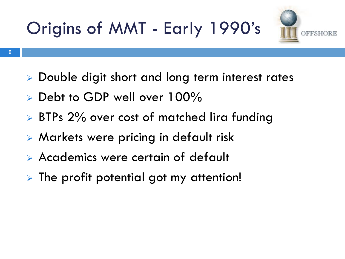



- 8
- Double digit short and long term interest rates
- $\triangleright$  Debt to GDP well over 100%
- **BTPs 2% over cost of matched lira funding**
- Markets were pricing in default risk
- Academics were certain of default
- The profit potential got my attention!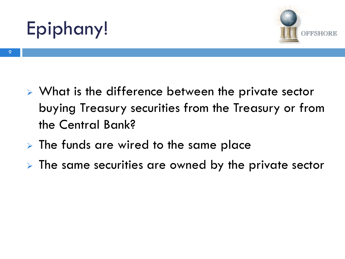# Epiphany!



- ▶ What is the difference between the private sector buying Treasury securities from the Treasury or from the Central Bank?
- $\triangleright$  The funds are wired to the same place
- $\triangleright$  The same securities are owned by the private sector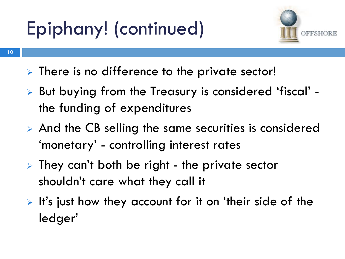# Epiphany! (continued)



- 10
- > There is no difference to the private sector!
- But buying from the Treasury is considered 'fiscal' the funding of expenditures
- $\triangleright$  And the CB selling the same securities is considered 'monetary' - controlling interest rates
- $\triangleright$  They can't both be right the private sector shouldn't care what they call it
- $\triangleright$  It's just how they account for it on 'their side of the ledger'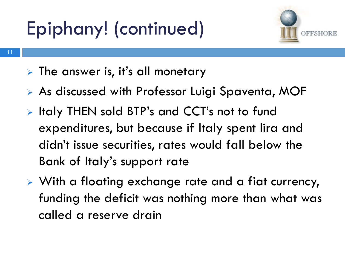# Epiphany! (continued)



- 11
- $\triangleright$  The answer is, it's all monetary
- As discussed with Professor Luigi Spaventa, MOF
- **Example 11 Fig. 2** Italy THEN sold BTP's and CCT's not to fund expenditures, but because if Italy spent lira and didn't issue securities, rates would fall below the Bank of Italy's support rate
- With a floating exchange rate and a fiat currency, funding the deficit was nothing more than what was called a reserve drain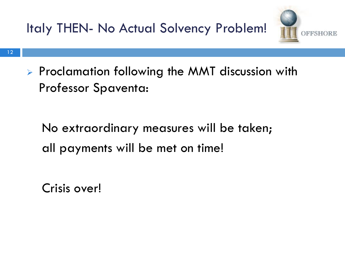

 $\triangleright$  Proclamation following the MMT discussion with Professor Spaventa:

 No extraordinary measures will be taken; all payments will be met on time!

Crisis over!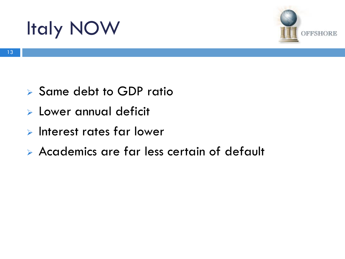## Italy NOW



- $\triangleright$  Same debt to GDP ratio
- Lower annual deficit
- $\triangleright$  Interest rates far lower
- Academics are far less certain of default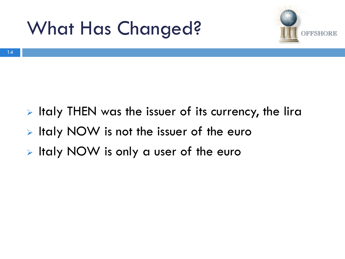### What Has Changed?



- $\triangleright$  Italy THEN was the issuer of its currency, the lira
- Italy NOW is not the issuer of the euro
- > Italy NOW is only a user of the euro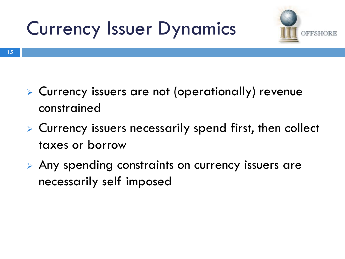# Currency Issuer Dynamics



15

- Currency issuers are not (operationally) revenue constrained
- Currency issuers necessarily spend first, then collect taxes or borrow
- Any spending constraints on currency issuers are necessarily self imposed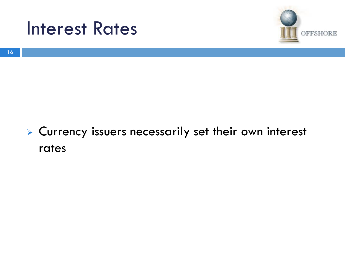



#### Currency issuers necessarily set their own interest rates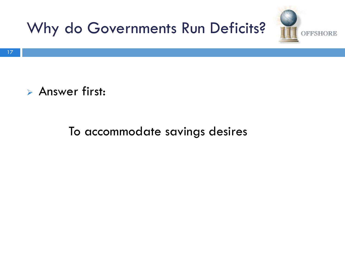

#### **Answer first:**

#### To accommodate savings desires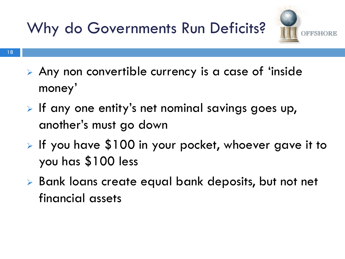Why do Governments Run Deficits?



- Any non convertible currency is a case of 'inside money'
- $\triangleright$  If any one entity's net nominal savings goes up, another's must go down
- If you have  $$100$  in your pocket, whoever gave it to you has \$100 less
- ▶ Bank loans create equal bank deposits, but not net financial assets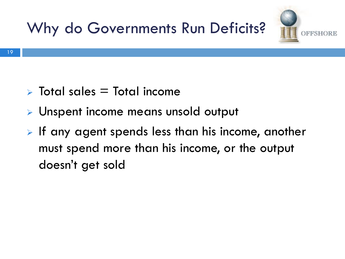



- $\triangleright$  Total sales  $=$  Total income
- **Dispent income means unsold output**
- $\triangleright$  If any agent spends less than his income, another must spend more than his income, or the output doesn't get sold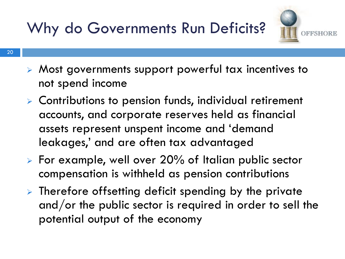#### Why do Governments Run Deficits?



- Most governments support powerful tax incentives to not spend income
- $\triangleright$  Contributions to pension funds, individual retirement accounts, and corporate reserves held as financial assets represent unspent income and 'demand leakages,' and are often tax advantaged
- For example, well over 20% of Italian public sector compensation is withheld as pension contributions
- $\triangleright$  Therefore offsetting deficit spending by the private and/or the public sector is required in order to sell the potential output of the economy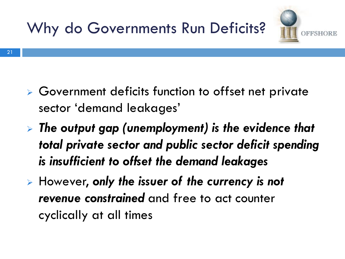



- Government deficits function to offset net private sector 'demand leakages'
- *The output gap (unemployment) is the evidence that total private sector and public sector deficit spending is insufficient to offset the demand leakages*
- However, *only the issuer of the currency is not revenue constrained* and free to act counter cyclically at all times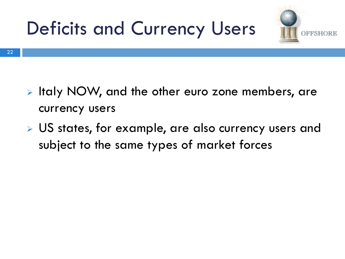



- Italy NOW, and the other euro zone members, are currency users
- US states, for example, are also currency users and subject to the same types of market forces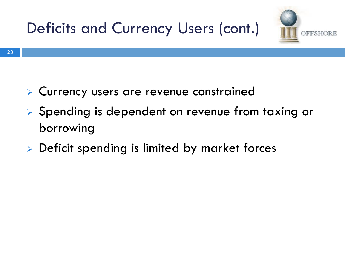



- Currency users are revenue constrained
- Spending is dependent on revenue from taxing or borrowing
- **Deficit spending is limited by market forces**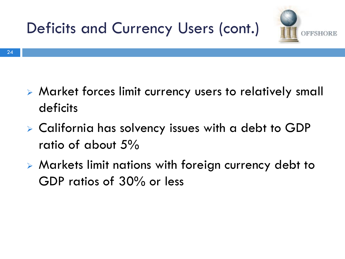



- - Market forces limit currency users to relatively small deficits
	- California has solvency issues with a debt to GDP ratio of about 5%
	- Markets limit nations with foreign currency debt to GDP ratios of 30% or less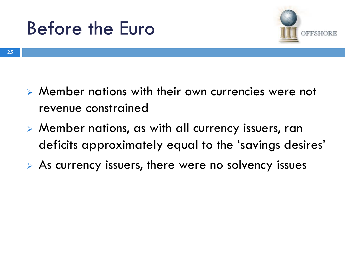



25

- Member nations with their own currencies were not revenue constrained
- Member nations, as with all currency issuers, ran deficits approximately equal to the 'savings desires'
- $\triangleright$  As currency issuers, there were no solvency issues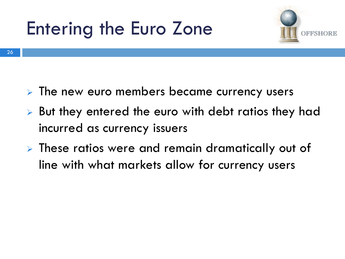# Entering the Euro Zone



- $\triangleright$  The new euro members became currency users
- But they entered the euro with debt ratios they had incurred as currency issuers
- **EXTE:** These ratios were and remain dramatically out of line with what markets allow for currency users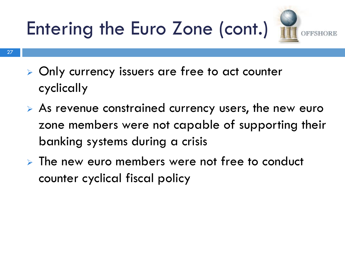Entering the Euro Zone (cont.)



- Only currency issuers are free to act counter cyclically
- As revenue constrained currency users, the new euro zone members were not capable of supporting their banking systems during a crisis
- $\triangleright$  The new euro members were not free to conduct counter cyclical fiscal policy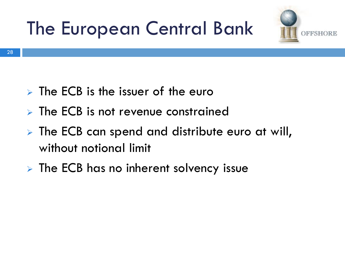# The European Central Bank



- $\triangleright$  The ECB is the issuer of the euro
- $\triangleright$  The ECB is not revenue constrained
- **The ECB can spend and distribute euro at will,** without notional limit
- $\triangleright$  The ECB has no inherent solvency issue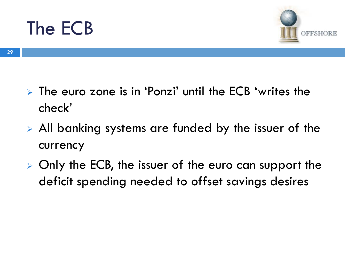#### The ECB



29

- $\triangleright$  The euro zone is in 'Ponzi' until the ECB 'writes the check'
- All banking systems are funded by the issuer of the currency
- $\triangleright$  Only the ECB, the issuer of the euro can support the deficit spending needed to offset savings desires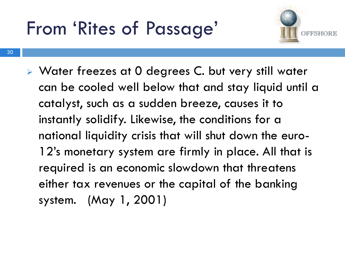#### From 'Rites of Passage'



▶ Water freezes at 0 degrees C. but very still water can be cooled well below that and stay liquid until a catalyst, such as a sudden breeze, causes it to instantly solidify. Likewise, the conditions for a national liquidity crisis that will shut down the euro-12's monetary system are firmly in place. All that is required is an economic slowdown that threatens either tax revenues or the capital of the banking system. (May 1, 2001)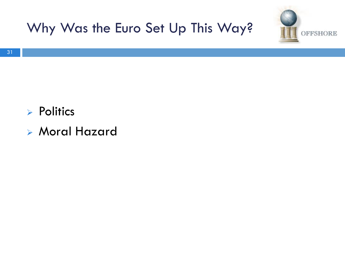



- $\triangleright$  Politics
- Moral Hazard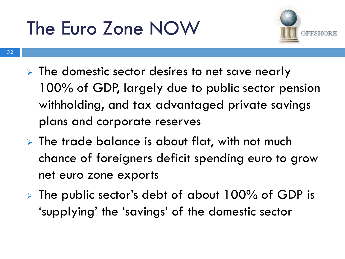# The Euro Zone NOW



- 32
- $\triangleright$  The domestic sector desires to net save nearly 100% of GDP, largely due to public sector pension withholding, and tax advantaged private savings plans and corporate reserves
- $\triangleright$  The trade balance is about flat, with not much chance of foreigners deficit spending euro to grow net euro zone exports
- $\triangleright$  The public sector's debt of about 100% of GDP is 'supplying' the 'savings' of the domestic sector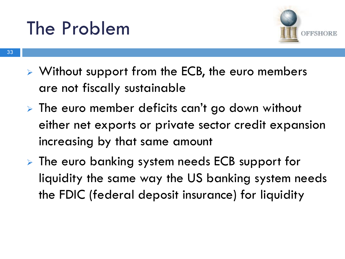#### The Problem



- Without support from the ECB, the euro members are not fiscally sustainable
- $\triangleright$  The euro member deficits can't go down without either net exports or private sector credit expansion increasing by that same amount
- **EXA** The euro banking system needs ECB support for liquidity the same way the US banking system needs the FDIC (federal deposit insurance) for liquidity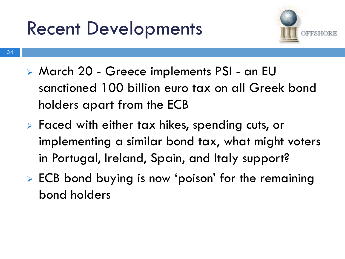#### Recent Developments



- March 20 Greece implements PSI an EU sanctioned 100 billion euro tax on all Greek bond holders apart from the ECB
- Faced with either tax hikes, spending cuts, or implementing a similar bond tax, what might voters in Portugal, Ireland, Spain, and Italy support?
- **ECB** bond buying is now 'poison' for the remaining bond holders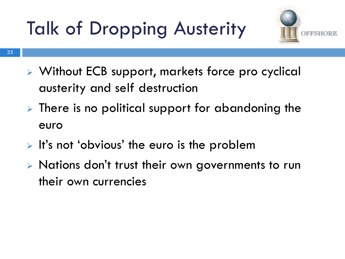# Talk of Dropping Austerity



- 35
	- Without ECB support, markets force pro cyclical austerity and self destruction
	- $\triangleright$  There is no political support for abandoning the euro
	- $\triangleright$  It's not 'obvious' the euro is the problem
	- $\triangleright$  Nations don't trust their own governments to run their own currencies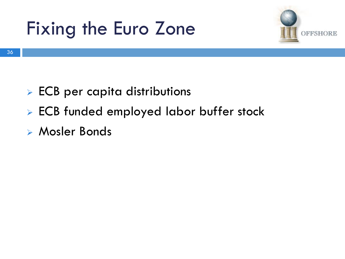### Fixing the Euro Zone



- **ECB** per capita distributions
- ECB funded employed labor buffer stock
- Mosler Bonds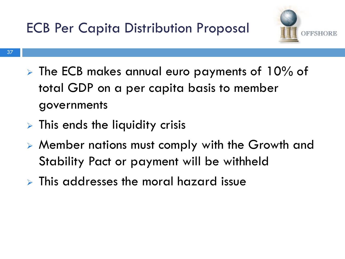

- 37
- $\triangleright$  The ECB makes annual euro payments of 10% of total GDP on a per capita basis to member governments
- $\triangleright$  This ends the liquidity crisis
- Member nations must comply with the Growth and Stability Pact or payment will be withheld
- $\triangleright$  This addresses the moral hazard issue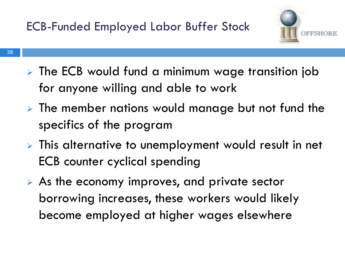

- The ECB would fund a minimum wage transition job for anyone willing and able to work
- $\triangleright$  The member nations would manage but not fund the specifics of the program
- This alternative to unemployment would result in net ECB counter cyclical spending
- As the economy improves, and private sector borrowing increases, these workers would likely become employed at higher wages elsewhere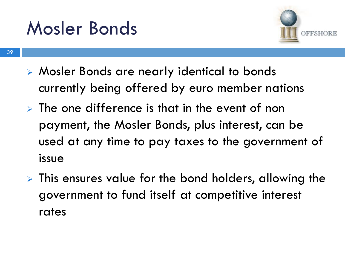#### Mosler Bonds



- Mosler Bonds are nearly identical to bonds currently being offered by euro member nations
- $\triangleright$  The one difference is that in the event of non payment, the Mosler Bonds, plus interest, can be used at any time to pay taxes to the government of issue
- **EXTR** This ensures value for the bond holders, allowing the government to fund itself at competitive interest rates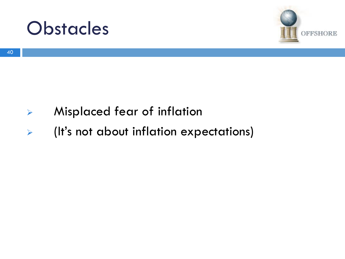



- Misplaced fear of inflation
- (It's not about inflation expectations)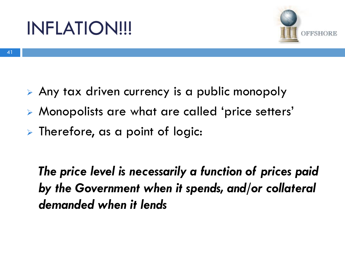#### INFLATION!!!



- Any tax driven currency is a public monopoly
	- Monopolists are what are called 'price setters'
	- $\triangleright$  Therefore, as a point of logic:

 *The price level is necessarily a function of prices paid by the Government when it spends, and/or collateral demanded when it lends*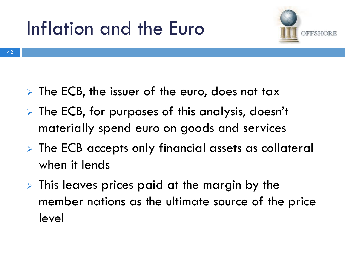# Inflation and the Euro



42

- $\triangleright$  The ECB, the issuer of the euro, does not tax
- > The ECB, for purposes of this analysis, doesn't materially spend euro on goods and services
- **EXP.** The ECB accepts only financial assets as collateral when it lends
- $\triangleright$  This leaves prices paid at the margin by the member nations as the ultimate source of the price level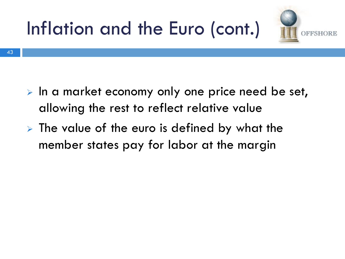



- $\triangleright$  In a market economy only one price need be set, allowing the rest to reflect relative value
	- $\triangleright$  The value of the euro is defined by what the member states pay for labor at the margin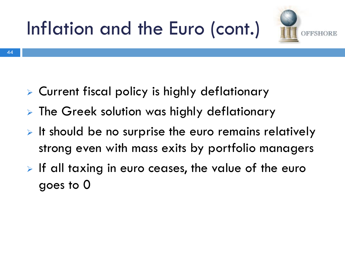



44

- Current fiscal policy is highly deflationary
- **EXTE:** The Greek solution was highly deflationary
- $\triangleright$  It should be no surprise the euro remains relatively strong even with mass exits by portfolio managers
- $\triangleright$  If all taxing in euro ceases, the value of the euro goes to 0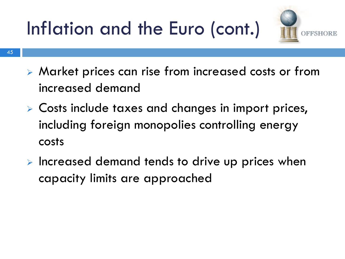Inflation and the Euro (cont.)



- 45
	- Market prices can rise from increased costs or from increased demand
	- Costs include taxes and changes in import prices, including foreign monopolies controlling energy costs
	- $\triangleright$  Increased demand tends to drive up prices when capacity limits are approached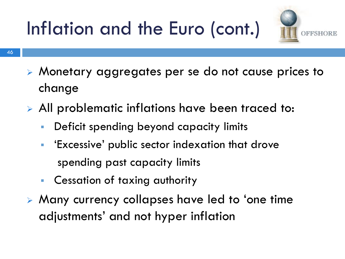# Inflation and the Euro (cont.)



- Monetary aggregates per se do not cause prices to change
- All problematic inflations have been traced to:
	- Deficit spending beyond capacity limits
	- 'Excessive' public sector indexation that drove spending past capacity limits
	- Cessation of taxing authority
- Many currency collapses have led to 'one time adjustments' and not hyper inflation